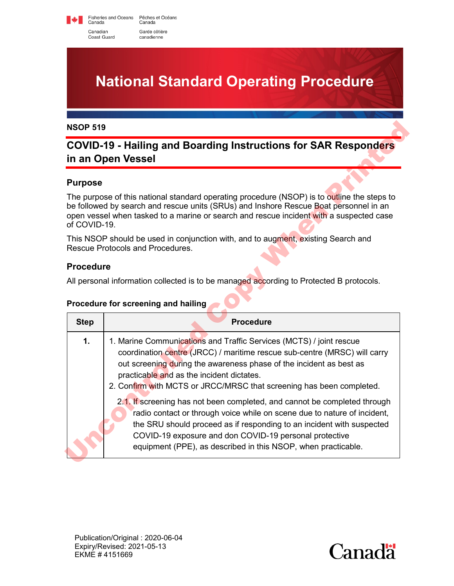Fisheries and Oceans Pêches et Océans<br>Canada Canada Canadian Garde côtière Coast Guard canadienne

**National Standard Operating Procedure**

# **COVID-19 - Hailing and Boarding Instructions for SAR Responders in an Open Vessel**

#### **Purpose**

#### **Procedure**

#### **Procedure for screening and hailing**

| <b>NSOP 519</b><br><b>COVID-19 - Hailing and Boarding Instructions for SAR Responders</b><br>in an Open Vessel |                                                                                                                                                                                                                                                                                                                                              |
|----------------------------------------------------------------------------------------------------------------|----------------------------------------------------------------------------------------------------------------------------------------------------------------------------------------------------------------------------------------------------------------------------------------------------------------------------------------------|
|                                                                                                                |                                                                                                                                                                                                                                                                                                                                              |
| of COVID-19.                                                                                                   | The purpose of this national standard operating procedure (NSOP) is to outline the steps to<br>be followed by search and rescue units (SRUs) and Inshore Rescue Boat personnel in an<br>open vessel when tasked to a marine or search and rescue incident with a suspected case                                                              |
|                                                                                                                | This NSOP should be used in conjunction with, and to augment, existing Search and<br>Rescue Protocols and Procedures.                                                                                                                                                                                                                        |
| <b>Procedure</b>                                                                                               |                                                                                                                                                                                                                                                                                                                                              |
|                                                                                                                | All personal information collected is to be managed according to Protected B protocols.                                                                                                                                                                                                                                                      |
|                                                                                                                | Procedure for screening and hailing                                                                                                                                                                                                                                                                                                          |
| <b>Step</b>                                                                                                    | <b>Procedure</b>                                                                                                                                                                                                                                                                                                                             |
| 1.                                                                                                             | 1. Marine Communications and Traffic Services (MCTS) / joint rescue<br>coordination centre (JRCC) / maritime rescue sub-centre (MRSC) will carry<br>out screening during the awareness phase of the incident as best as<br>practicable and as the incident dictates.<br>2. Confirm with MCTS or JRCC/MRSC that screening has been completed. |
|                                                                                                                | 2.1. If screening has not been completed, and cannot be completed through<br>radio contact or through voice while on scene due to nature of incident,<br>the SRU should proceed as if responding to an incident with suspected<br>COVID-19 exposure and don COVID-19 personal protective                                                     |

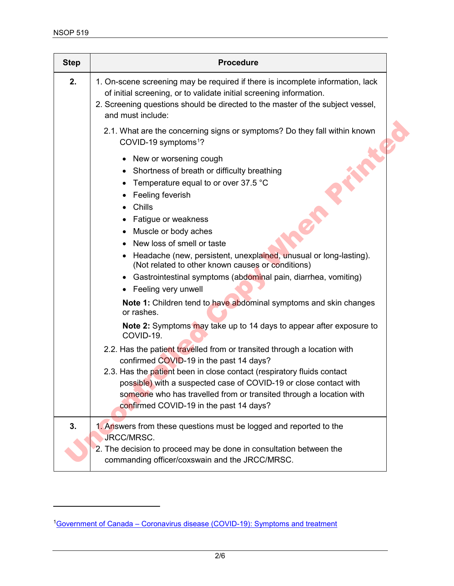$\overline{a}$ 

| <b>Step</b> | <b>Procedure</b>                                                                                                                                                                                                                                                                                                                                                                                                                                             |
|-------------|--------------------------------------------------------------------------------------------------------------------------------------------------------------------------------------------------------------------------------------------------------------------------------------------------------------------------------------------------------------------------------------------------------------------------------------------------------------|
| 2.          | 1. On-scene screening may be required if there is incomplete information, lack<br>of initial screening, or to validate initial screening information.<br>2. Screening questions should be directed to the master of the subject vessel,<br>and must include:                                                                                                                                                                                                 |
|             | 2.1. What are the concerning signs or symptoms? Do they fall within known<br>COVID-19 symptoms <sup>1</sup> ?                                                                                                                                                                                                                                                                                                                                                |
|             | New or worsening cough<br>Shortness of breath or difficulty breathing<br>Temperature equal to or over 37.5 °C<br>Feeling feverish<br>Chills<br>Fatigue or weakness<br>Muscle or body aches<br>$\bullet$<br>New loss of smell or taste<br>Headache (new, persistent, unexplained, unusual or long-lasting).<br>(Not related to other known causes or conditions)<br>• Gastrointestinal symptoms (abdominal pain, diarrhea, vomiting)<br>• Feeling very unwell |
|             | Note 1: Children tend to have abdominal symptoms and skin changes<br>or rashes.<br>Note 2: Symptoms may take up to 14 days to appear after exposure to<br>COVID-19.                                                                                                                                                                                                                                                                                          |
|             | 2.2. Has the patient travelled from or transited through a location with<br>confirmed COVID-19 in the past 14 days?<br>2.3. Has the patient been in close contact (respiratory fluids contact<br>possible) with a suspected case of COVID-19 or close contact with<br>someone who has travelled from or transited through a location with<br>confirmed COVID-19 in the past 14 days?                                                                         |
| 3.          | 1. Answers from these questions must be logged and reported to the<br>JRCC/MRSC.<br>2. The decision to proceed may be done in consultation between the<br>commanding officer/coxswain and the JRCC/MRSC.                                                                                                                                                                                                                                                     |

<span id="page-1-0"></span><sup>&</sup>lt;sup>1</sup>[Government of Canada – Coronavirus disease \(COVID-19\): Symptoms and treatment](https://www.canada.ca/en/public-health/services/diseases/2019-novel-coronavirus-infection/symptoms.html)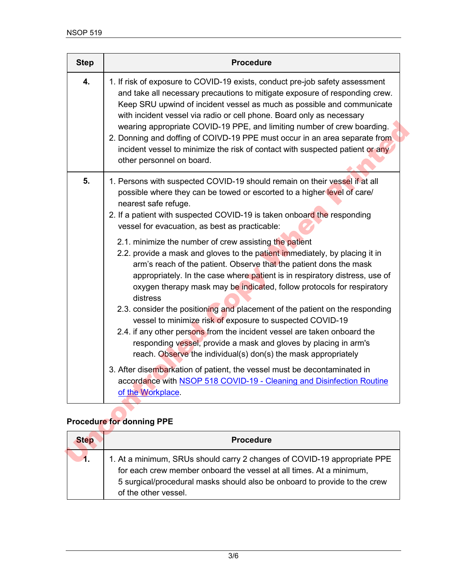| <b>Step</b> | <b>Procedure</b>                                                                                                                                                                                                                                                                                                                                                                                                                                                                                                                                                                      |
|-------------|---------------------------------------------------------------------------------------------------------------------------------------------------------------------------------------------------------------------------------------------------------------------------------------------------------------------------------------------------------------------------------------------------------------------------------------------------------------------------------------------------------------------------------------------------------------------------------------|
| 4.          | 1. If risk of exposure to COVID-19 exists, conduct pre-job safety assessment<br>and take all necessary precautions to mitigate exposure of responding crew.<br>Keep SRU upwind of incident vessel as much as possible and communicate<br>with incident vessel via radio or cell phone. Board only as necessary<br>wearing appropriate COVID-19 PPE, and limiting number of crew boarding.<br>2. Donning and doffing of COIVD-19 PPE must occur in an area separate from<br>incident vessel to minimize the risk of contact with suspected patient or any<br>other personnel on board. |
| 5.          | 1. Persons with suspected COVID-19 should remain on their vessel if at all<br>possible where they can be towed or escorted to a higher level of care/<br>nearest safe refuge.<br>2. If a patient with suspected COVID-19 is taken onboard the responding<br>vessel for evacuation, as best as practicable:                                                                                                                                                                                                                                                                            |
|             | 2.1. minimize the number of crew assisting the patient<br>2.2. provide a mask and gloves to the patient immediately, by placing it in<br>arm's reach of the patient. Observe that the patient dons the mask<br>appropriately. In the case where patient is in respiratory distress, use of<br>oxygen therapy mask may be indicated, follow protocols for respiratory<br>distress                                                                                                                                                                                                      |
|             | 2.3. consider the positioning and placement of the patient on the responding<br>vessel to minimize risk of exposure to suspected COVID-19<br>2.4. if any other persons from the incident vessel are taken onboard the<br>responding vessel, provide a mask and gloves by placing in arm's<br>reach. Observe the individual(s) don(s) the mask appropriately                                                                                                                                                                                                                           |
|             | 3. After disembarkation of patient, the vessel must be decontaminated in<br>accordance with NSOP 518 COVID-19 - Cleaning and Disinfection Routine<br>of the Workplace.                                                                                                                                                                                                                                                                                                                                                                                                                |
|             | <b>Procedure for donning PPE</b>                                                                                                                                                                                                                                                                                                                                                                                                                                                                                                                                                      |
| <b>Step</b> | <b>Procedure</b>                                                                                                                                                                                                                                                                                                                                                                                                                                                                                                                                                                      |
| 1.          | 1. At a minimum, SRUs should carry 2 changes of COVID-19 appropriate PPE                                                                                                                                                                                                                                                                                                                                                                                                                                                                                                              |

## **Procedure for donning PPE**

| <b>Step</b> | <b>Procedure</b>                                                                                                                                                                                                                                     |
|-------------|------------------------------------------------------------------------------------------------------------------------------------------------------------------------------------------------------------------------------------------------------|
|             | 1. At a minimum, SRUs should carry 2 changes of COVID-19 appropriate PPE<br>for each crew member onboard the vessel at all times. At a minimum,<br>5 surgical/procedural masks should also be onboard to provide to the crew<br>of the other vessel. |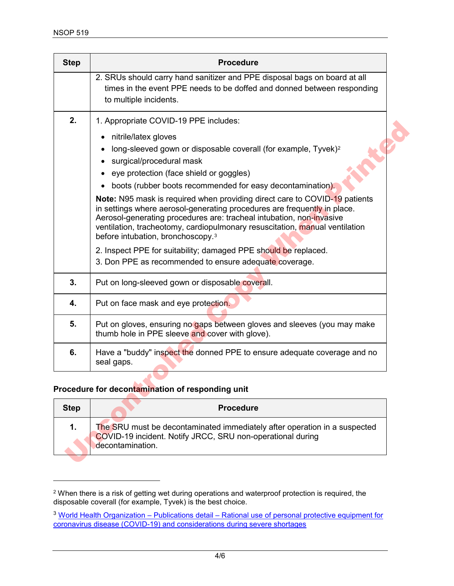$\overline{a}$ 

| <b>Step</b> | <b>Procedure</b>                                                                                                                                                                                                                                                                                                                                                      |
|-------------|-----------------------------------------------------------------------------------------------------------------------------------------------------------------------------------------------------------------------------------------------------------------------------------------------------------------------------------------------------------------------|
|             | 2. SRUs should carry hand sanitizer and PPE disposal bags on board at all<br>times in the event PPE needs to be doffed and donned between responding<br>to multiple incidents.                                                                                                                                                                                        |
| 2.          | 1. Appropriate COVID-19 PPE includes:                                                                                                                                                                                                                                                                                                                                 |
|             | nitrile/latex gloves<br>long-sleeved gown or disposable coverall (for example, Tyvek) <sup>2</sup><br>surgical/procedural mask<br>eye protection (face shield or goggles)<br>boots (rubber boots recommended for easy decontamination).                                                                                                                               |
|             | <b>Note:</b> N95 mask is required when providing direct care to COVID-19 patients<br>in settings where aerosol-generating procedures are frequently in place.<br>Aerosol-generating procedures are: tracheal intubation, non-invasive<br>ventilation, tracheotomy, cardiopulmonary resuscitation, manual ventilation<br>before intubation, bronchoscopy. <sup>3</sup> |
|             | 2. Inspect PPE for suitability; damaged PPE should be replaced.<br>3. Don PPE as recommended to ensure adequate coverage.                                                                                                                                                                                                                                             |
| 3.          | Put on long-sleeved gown or disposable coverall.                                                                                                                                                                                                                                                                                                                      |
| 4.          | Put on face mask and eye protection.                                                                                                                                                                                                                                                                                                                                  |
| 5.          | Put on gloves, ensuring no gaps between gloves and sleeves (you may make<br>thumb hole in PPE sleeve and cover with glove).                                                                                                                                                                                                                                           |
| 6.          | Have a "buddy" inspect the donned PPE to ensure adequate coverage and no<br>seal gaps.                                                                                                                                                                                                                                                                                |
|             | Procedure for decontamination of responding unit                                                                                                                                                                                                                                                                                                                      |
| <b>Step</b> | <b>Procedure</b>                                                                                                                                                                                                                                                                                                                                                      |
| 1.          | The SRU must be decontaminated immediately after operation in a suspected<br>COVID-19 incident. Notify JRCC, SRU non-operational during<br>decontamination.                                                                                                                                                                                                           |

### **Procedure for decontamination of responding unit**

| <b>Step</b> | <b>Procedure</b>                                                                                                                                            |
|-------------|-------------------------------------------------------------------------------------------------------------------------------------------------------------|
| 1.          | The SRU must be decontaminated immediately after operation in a suspected<br>COVID-19 incident. Notify JRCC, SRU non-operational during<br>decontamination. |

<span id="page-3-0"></span> $^{\rm 2}$  When there is a risk of getting wet during operations and waterproof protection is required, the disposable coverall (for example, Tyvek) is the best choice.

<span id="page-3-1"></span><sup>&</sup>lt;sup>3</sup> World Health Organization – Publications detail – Rational use of personal protective equipment for [coronavirus disease \(COVID-19\) and considerations during severe shortages](https://www.who.int/publications-detail/rational-use-of-personal-protective-equipment-for-coronavirus-disease-(covid-19)-and-considerations-during-severe-shortages)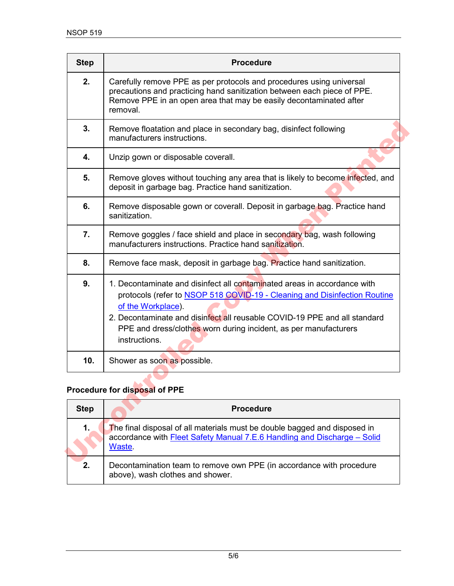| <b>Step</b> | <b>Procedure</b>                                                                                                                                                                                                                                                                                                                              |
|-------------|-----------------------------------------------------------------------------------------------------------------------------------------------------------------------------------------------------------------------------------------------------------------------------------------------------------------------------------------------|
| 2.          | Carefully remove PPE as per protocols and procedures using universal<br>precautions and practicing hand sanitization between each piece of PPE.<br>Remove PPE in an open area that may be easily decontaminated after<br>removal.                                                                                                             |
| 3.          | Remove floatation and place in secondary bag, disinfect following<br>manufacturers instructions.                                                                                                                                                                                                                                              |
| 4.          | Unzip gown or disposable coverall.                                                                                                                                                                                                                                                                                                            |
| 5.          | Remove gloves without touching any area that is likely to become infected, and<br>deposit in garbage bag. Practice hand sanitization.                                                                                                                                                                                                         |
| 6.          | Remove disposable gown or coverall. Deposit in garbage bag. Practice hand<br>sanitization.                                                                                                                                                                                                                                                    |
| 7.          | Remove goggles / face shield and place in secondary bag, wash following<br>manufacturers instructions. Practice hand sanitization.                                                                                                                                                                                                            |
| 8.          | Remove face mask, deposit in garbage bag. Practice hand sanitization.                                                                                                                                                                                                                                                                         |
| 9.          | 1. Decontaminate and disinfect all contaminated areas in accordance with<br>protocols (refer to NSOP 518 COVID-19 - Cleaning and Disinfection Routine<br>of the Workplace).<br>2. Decontaminate and disinfect all reusable COVID-19 PPE and all standard<br>PPE and dress/clothes worn during incident, as per manufacturers<br>instructions. |
| 10.         | Shower as soon as possible.                                                                                                                                                                                                                                                                                                                   |
|             | Procedure for disposal of PPE                                                                                                                                                                                                                                                                                                                 |
| <b>Step</b> | <b>Procedure</b>                                                                                                                                                                                                                                                                                                                              |
| 1.          | The final disposal of all materials must be double bagged and disposed in<br>accordance with Fleet Safety Manual 7.E.6 Handling and Discharge - Solid<br>Waste.                                                                                                                                                                               |
|             |                                                                                                                                                                                                                                                                                                                                               |

### **Procedure for disposal of PPE**

| <b>Step</b> | <b>Procedure</b>                                                                                                                                                |
|-------------|-----------------------------------------------------------------------------------------------------------------------------------------------------------------|
| 1.          | The final disposal of all materials must be double bagged and disposed in<br>accordance with Fleet Safety Manual 7.E.6 Handling and Discharge - Solid<br>Waste. |
| 2.          | Decontamination team to remove own PPE (in accordance with procedure<br>above), wash clothes and shower.                                                        |